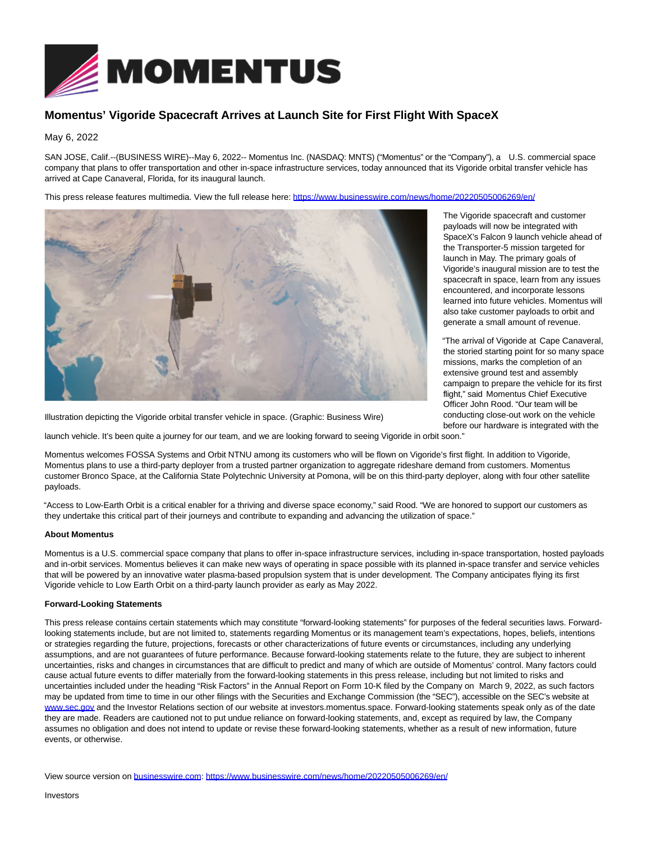

## **Momentus' Vigoride Spacecraft Arrives at Launch Site for First Flight With SpaceX**

May 6, 2022

SAN JOSE, Calif.--(BUSINESS WIRE)--May 6, 2022-- Momentus Inc. (NASDAQ: MNTS) ("Momentus" or the "Company"), a U.S. commercial space company that plans to offer transportation and other in-space infrastructure services, today announced that its Vigoride orbital transfer vehicle has arrived at Cape Canaveral, Florida, for its inaugural launch.

This press release features multimedia. View the full release here:<https://www.businesswire.com/news/home/20220505006269/en/>



Illustration depicting the Vigoride orbital transfer vehicle in space. (Graphic: Business Wire)

The Vigoride spacecraft and customer payloads will now be integrated with SpaceX's Falcon 9 launch vehicle ahead of the Transporter-5 mission targeted for launch in May. The primary goals of Vigoride's inaugural mission are to test the spacecraft in space, learn from any issues encountered, and incorporate lessons learned into future vehicles. Momentus will also take customer payloads to orbit and generate a small amount of revenue.

"The arrival of Vigoride at Cape Canaveral, the storied starting point for so many space missions, marks the completion of an extensive ground test and assembly campaign to prepare the vehicle for its first flight," said Momentus Chief Executive Officer John Rood. "Our team will be conducting close-out work on the vehicle before our hardware is integrated with the

launch vehicle. It's been quite a journey for our team, and we are looking forward to seeing Vigoride in orbit soon."

Momentus welcomes FOSSA Systems and Orbit NTNU among its customers who will be flown on Vigoride's first flight. In addition to Vigoride, Momentus plans to use a third-party deployer from a trusted partner organization to aggregate rideshare demand from customers. Momentus customer Bronco Space, at the California State Polytechnic University at Pomona, will be on this third-party deployer, along with four other satellite payloads.

"Access to Low-Earth Orbit is a critical enabler for a thriving and diverse space economy," said Rood. "We are honored to support our customers as they undertake this critical part of their journeys and contribute to expanding and advancing the utilization of space."

## **About Momentus**

Momentus is a U.S. commercial space company that plans to offer in-space infrastructure services, including in-space transportation, hosted payloads and in-orbit services. Momentus believes it can make new ways of operating in space possible with its planned in-space transfer and service vehicles that will be powered by an innovative water plasma-based propulsion system that is under development. The Company anticipates flying its first Vigoride vehicle to Low Earth Orbit on a third-party launch provider as early as May 2022.

## **Forward-Looking Statements**

This press release contains certain statements which may constitute "forward-looking statements" for purposes of the federal securities laws. Forwardlooking statements include, but are not limited to, statements regarding Momentus or its management team's expectations, hopes, beliefs, intentions or strategies regarding the future, projections, forecasts or other characterizations of future events or circumstances, including any underlying assumptions, and are not guarantees of future performance. Because forward-looking statements relate to the future, they are subject to inherent uncertainties, risks and changes in circumstances that are difficult to predict and many of which are outside of Momentus' control. Many factors could cause actual future events to differ materially from the forward-looking statements in this press release, including but not limited to risks and uncertainties included under the heading "Risk Factors" in the Annual Report on Form 10-K filed by the Company on March 9, 2022, as such factors may be updated from time to time in our other filings with the Securities and Exchange Commission (the "SEC"), accessible on the SEC's website at [www.sec.gov a](https://cts.businesswire.com/ct/CT?id=smartlink&url=http%3A%2F%2Fwww.sec.gov&esheet=52710637&newsitemid=20220505006269&lan=en-US&anchor=www.sec.gov&index=1&md5=227dacde915cfafd336326c6ed6642d3)nd the Investor Relations section of our website at investors.momentus.space. Forward-looking statements speak only as of the date they are made. Readers are cautioned not to put undue reliance on forward-looking statements, and, except as required by law, the Company assumes no obligation and does not intend to update or revise these forward-looking statements, whether as a result of new information, future events, or otherwise.

View source version on [businesswire.com:](http://businesswire.com/)<https://www.businesswire.com/news/home/20220505006269/en/>